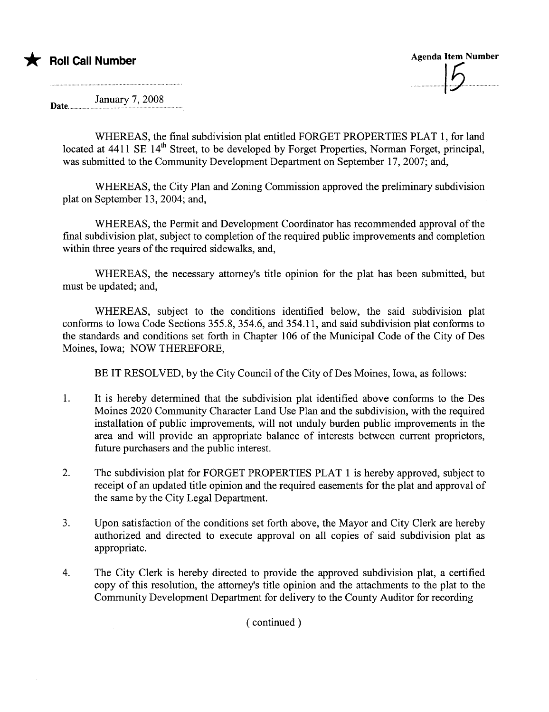

Date.......... January 7,2008

> WHEREAS, the final subdivision plat entitled FORGET PROPERTIES PLAT 1, for land located at 4411 SE 14<sup>th</sup> Street, to be developed by Forget Properties, Norman Forget, principal, was submitted to the Community Development Department on September 17, 2007; and,

> WHEREAS, the City Plan and Zoning Commission approved the preliminary subdivision plat on September 13, 2004; and,

> WHEREAS, the Permit and Development Coordinator has recommended approval of the final subdivision plat, subject to completion of the required public improvements and completion within three years of the required sidewalks, and,

> WHEREAS, the necessary attorney's title opinion for the plat has been submitted, but must be updated; and,

> WHEREAS, subject to the conditions identified below, the said subdivision plat conforms to Iowa Code Sections 355.8, 354.6, and 354.11, and said subdivision plat conforms to the standards and conditions set forth in Chapter 106 of the Municipal Code of the City of Des Moines, Iowa; NOW THEREFORE,

BE IT RESOLVED, by the City Council of the City of Des Moines, Iowa, as follows:

- 1. It is hereby determined that the subdivision plat identified above conforms to the Des Moines 2020 Community Character Land Use Plan and the subdivision, with the required installation of public improvements, will not unduly burden public improvements in the area and will provide an appropriate balance of interests between current proprietors, future purchasers and the public interest.
- 2. The subdivision plat for FORGET PROPERTIES PLAT 1 is hereby approved, subject to receipt of an updated title opinion and the required easements for the plat and approval of the same by the City Legal Deparment.
- 3. Upon satisfaction of the conditions set forth above, the Mayor and City Clerk are hereby authorized and directed to execute approval on all copies of said subdivision plat as appropriate.
- 4. The City Clerk is hereby directed to provide the approved subdivision plat, a certified copy of this resolution, the attorney's title opinion and the attachments to the plat to the Community Development Department for delivery to the County Auditor for recording

( continued)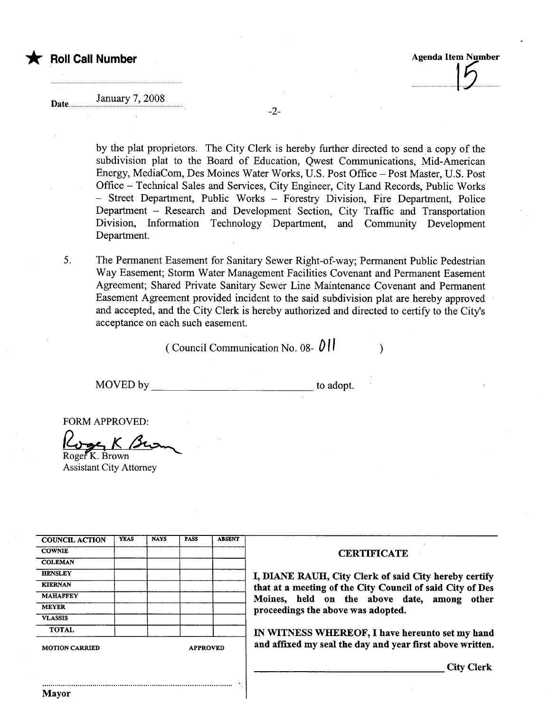

Date...

## January 7, 2008

-2-

by the plat proprietors. The City Clerk is hereby further directed to send a copy of the subdivision plat to the Board of Education, Qwest Communications, Mid-American Energy, MediaCom, Des Moines Water Works, U.S. Post Offce - Post Master, U.S. Post Office - Technical Sales and Services, City Engineer, City Land Records, Public Works - Street Department, Public Works - Forestry Division, Fire Department, Police Department - Research and Development Section, City Traffic and Transportation Division, Information Technology Department, and Community Development Department.

5. The Permanent Easement for Sanitary Sewer Right-of-way; Permanent Public Pedestrian Way Easement; Storm Water Management Facilities Covenant and Permanent Easement Agreement; Shared Private Sanitary Sewer Line Maintenance Covenant and Permanent Easement Agreement provided incident to the said subdivision plat are hereby approved and accepted, and the City Clerk is hereby authorized and directed to certify to the City's acceptance on each such easement.

(Council Communication No. 08- $\left\| \cdot \right\|$ )

MOVED by to adopt.

FORM APPROVED:<br> $\frac{\partial^2 f}{\partial x^2}$  K  $\beta$ 

Assistant City Attorney

| <b>COUNCIL ACTION</b> | <b>YEAS</b> | <b>NAYS</b>     | <b>PASS</b> | <b>ABSENT</b> |
|-----------------------|-------------|-----------------|-------------|---------------|
| <b>COWNIE</b>         |             |                 |             |               |
| <b>COLEMAN</b>        |             |                 |             |               |
| <b>HENSLEY</b>        |             |                 |             |               |
| <b>KIERNAN</b>        |             |                 |             |               |
| <b>MAHAFFEY</b>       |             |                 |             |               |
| <b>MEYER</b>          |             |                 |             |               |
| <b>VLASSIS</b>        |             |                 |             |               |
| <b>TOTAL</b>          |             |                 |             |               |
| <b>MOTION CARRIED</b> |             | <b>APPROVED</b> |             |               |

..........................................................................................

## **CERTIFICATE**

I, DIANE RAUH, City Clerk of said City hereby certify that at a meeting of the City Council of said City of Des Moines, held on the above date, among other proceedings the above was adopted.

IN WITNESS WHEREOF, I have hereunto set my hand and affixed my seal the day and year first above written.

City Clerk

Mayor